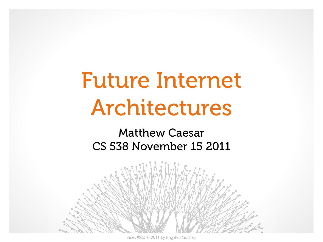# Future Internet Architectures

#### Matthew Caesar CS 538 November 15 2011



slides ©2010-2011 by Brighten Godfrey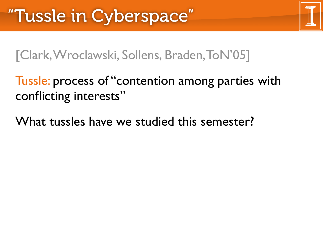[Clark, Wroclawski, Sollens, Braden, ToN'05]

#### Tussle: process of "contention among parties with conflicting interests"

What tussles have we studied this semester?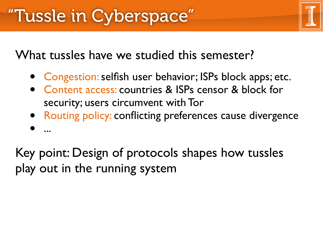What tussles have we studied this semester?

- Congestion: selfish user behavior; ISPs block apps; etc.
- Content access: countries & ISPs censor & block for security; users circumvent with Tor
- Routing policy: conflicting preferences cause divergence
- ...

Key point: Design of protocols shapes how tussles play out in the running system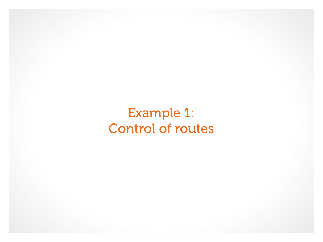#### Example 1: Control of routes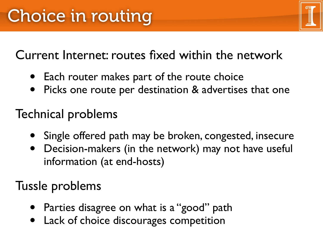Current Internet: routes fixed within the network

- Each router makes part of the route choice
- Picks one route per destination & advertises that one

### Technical problems

- Single offered path may be broken, congested, insecure
- Decision-makers (in the network) may not have useful information (at end-hosts)

#### Tussle problems

- Parties disagree on what is a "good" path
- Lack of choice discourages competition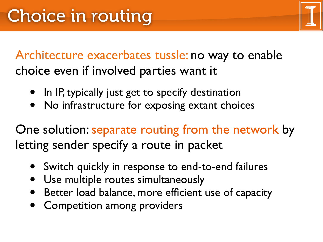Architecture exacerbates tussle: no way to enable choice even if involved parties want it

- In IP, typically just get to specify destination
- No infrastructure for exposing extant choices

One solution: separate routing from the network by letting sender specify a route in packet

- Switch quickly in response to end-to-end failures
- Use multiple routes simultaneously
- Better load balance, more efficient use of capacity
- Competition among providers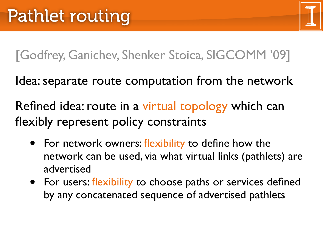[Godfrey, Ganichev, Shenker Stoica, SIGCOMM '09]

Idea: separate route computation from the network

Refined idea: route in a virtual topology which can flexibly represent policy constraints

- For network owners: flexibility to define how the network can be used, via what virtual links (pathlets) are advertised
- For users: flexibility to choose paths or services defined by any concatenated sequence of advertised pathlets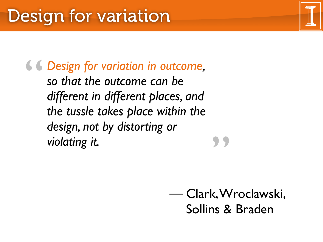*Design for variation in outcome, so that the outcome can be different in different places, and the tussle takes place within the design, not by distorting or violating it.* " **"** 

> Clark, Wroclawski, –– Sollins & Braden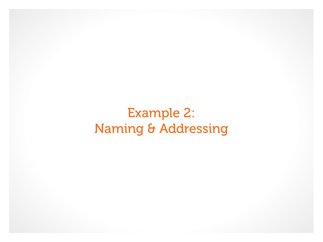#### Example 2: Naming & Addressing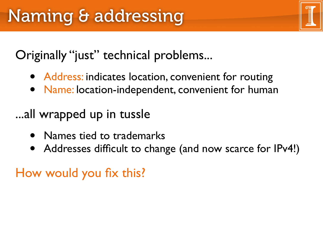Originally "just" technical problems...

- Address: indicates location, convenient for routing
- Name: location-independent, convenient for human
- ...all wrapped up in tussle
	- Names tied to trademarks
	- Addresses difficult to change (and now scarce for IPv4!)

How would you fix this?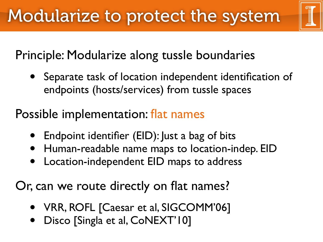

### Principle: Modularize along tussle boundaries

• Separate task of location independent identification of endpoints (hosts/services) from tussle spaces

#### Possible implementation: flat names

- Endpoint identifier (EID): Just a bag of bits
- Human-readable name maps to location-indep. EID
- Location-independent EID maps to address

Or, can we route directly on flat names?

- VRR, ROFL [Caesar et al, SIGCOMM'06]
- Disco [Singla et al, CoNEXT'10]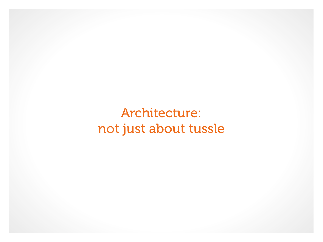Architecture: not just about tussle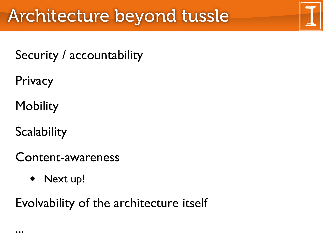## Architecture beyond tussle

Security / accountability

**Privacy** 

**Mobility** 

**Scalability** 

Content-awareness

• Next up!

Evolvability of the architecture itself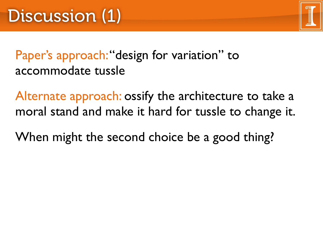

#### Paper's approach: "design for variation" to accommodate tussle

Alternate approach: ossify the architecture to take a moral stand and make it hard for tussle to change it.

When might the second choice be a good thing?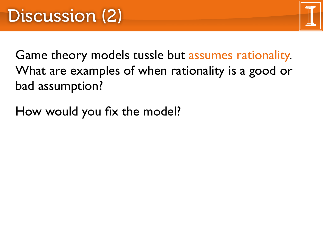Game theory models tussle but assumes rationality. What are examples of when rationality is a good or bad assumption?

How would you fix the model?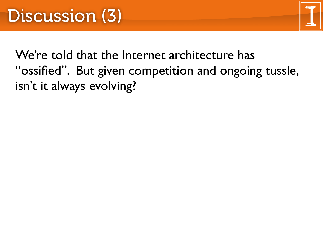

We're told that the Internet architecture has "ossified". But given competition and ongoing tussle, isn't it always evolving?